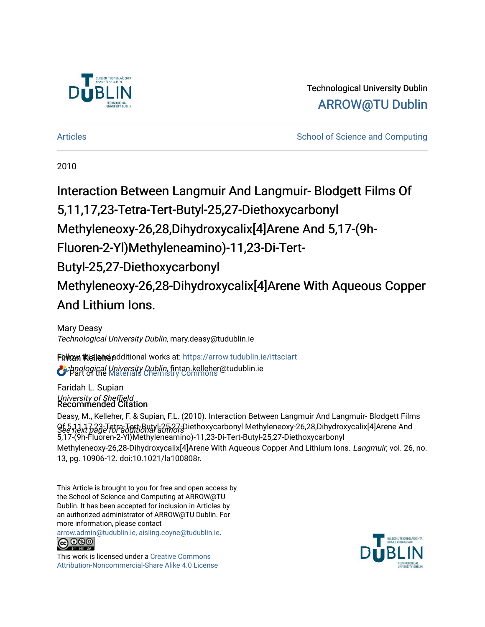

# Technological University Dublin [ARROW@TU Dublin](https://arrow.tudublin.ie/)

[Articles](https://arrow.tudublin.ie/ittsciart) **School of Science and Computing**  $\sim$  School of Science and Computing

2010

# Interaction Between Langmuir And Langmuir- Blodgett Films Of 5,11,17,23-Tetra-Tert-Butyl-25,27-Diethoxycarbonyl Methyleneoxy-26,28,Dihydroxycalix[4]Arene And 5,17-(9h-Fluoren-2-Yl)Methyleneamino)-11,23-Di-Tert-Butyl-25,27-Diethoxycarbonyl Methyleneoxy-26,28-Dihydroxycalix[4]Arene With Aqueous Copper And Lithium Ions.

Mary Deasy Technological University Dublin, mary.deasy@tudublin.ie

Fülltam tkislleine additional works at: [https://arrow.tudublin.ie/ittsciart](https://arrow.tudublin.ie/ittsciart?utm_source=arrow.tudublin.ie%2Fittsciart%2F76&utm_medium=PDF&utm_campaign=PDFCoverPages) **C**: bnological University Dublin, fintan.kelleher@tudublin.ie<br>C: Part of the Materials Chemistry Commons

Faridah L. Supian University of Sheffield<br>Recommended Citation

 $Qf\bar{e}$ 1,17,23-Tetra-Tett-Butyl-25,27-Diethoxycarbonyl Methyleneoxy-26,28,Dihydroxycalix[4]Arene And<br>See next page Foradditional addrors Deasy, M., Kelleher, F. & Supian, F.L. (2010). Interaction Between Langmuir And Langmuir- Blodgett Films 5,17-(9h-Fluoren-2-Yl)Methyleneamino)-11,23-Di-Tert-Butyl-25,27-Diethoxycarbonyl Methyleneoxy-26,28-Dihydroxycalix[4]Arene With Aqueous Copper And Lithium Ions. Langmuir, vol. 26, no. 13, pg. 10906-12. doi:10.1021/la100808r.

This Article is brought to you for free and open access by the School of Science and Computing at ARROW@TU Dublin. It has been accepted for inclusion in Articles by an authorized administrator of ARROW@TU Dublin. For more information, please contact

[arrow.admin@tudublin.ie, aisling.coyne@tudublin.ie](mailto:arrow.admin@tudublin.ie,%20aisling.coyne@tudublin.ie).



This work is licensed under a [Creative Commons](http://creativecommons.org/licenses/by-nc-sa/4.0/) [Attribution-Noncommercial-Share Alike 4.0 License](http://creativecommons.org/licenses/by-nc-sa/4.0/)

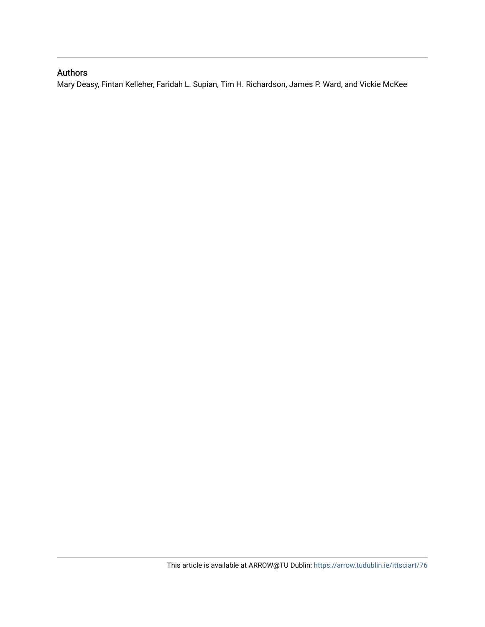## Authors

Mary Deasy, Fintan Kelleher, Faridah L. Supian, Tim H. Richardson, James P. Ward, and Vickie McKee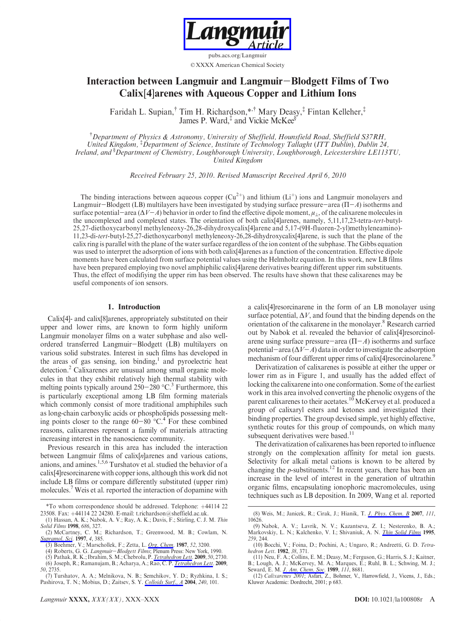

pubs.acs.org/Langmuir © XXXX American Chemical Society

## Interaction between Langmuir and Langmuir-Blodgett Films of Two Calix[4]arenes with Aqueous Copper and Lithium Ions

Faridah L. Supian,† Tim H. Richardson,\*,† Mary Deasy,‡ Fintan Kelleher,‡ James P. Ward,<sup>‡</sup> and Vickie McKee<sup>§</sup>

† Department of Physics & Astronomy, University of Sheffield, Hounsfield Road, Sheffield S37RH, United Kingdom, ‡ Department of Science, Institute of Technology Tallaght (ITT Dublin), Dublin 24, Ireland, and <sup>§</sup>Department of Chemistry, Loughborough University, Loughborough, Leicestershire LE113TU, United Kingdom

Received February 25, 2010. Revised Manuscript Received April 6, 2010

The binding interactions between aqueous copper  $(Cu^{2+})$  and lithium (Li<sup>+</sup>) ions and Langmuir monolayers and Langmuir-Blodgett (LB) multilayers have been investigated by studying surface pressure-area (Π-A) isotherms and surface potential—area ( $\Delta V - A$ ) behavior in order to find the effective dipole moment,  $\mu_{\perp}$ , of the calixarene molecules in the uncomplexed and complexed states. The orientation of both calix[4]arenes, namely, 5,11,17,23-tetra-tert-butyl-25,27-diethoxycarbonyl methyleneoxy-26,28-dihydroxycalix[4]arene and 5,17-(9H-fluoren-2-yl)methyleneamino)- 11,23-di-tert-butyl-25,27-diethoxycarbonyl methyleneoxy-26,28-dihydroxycalix[4]arene, is such that the plane of the calix ring is parallel with the plane of the water surface regardless of the ion content of the subphase. The Gibbs equation was used to interpret the adsorption of ions with both calix[4]arenes as a function of the concentration. Effective dipole moments have been calculated from surface potential values using the Helmholtz equation. In this work, new LB films have been prepared employing two novel amphiphilic calix[4]arene derivatives bearing different upper rim substituents. Thus, the effect of modifiying the upper rim has been observed. The results have shown that these calixarenes may be useful components of ion sensors.

## 1. Introduction

Calix[4]- and calix[8]arenes, appropriately substituted on their upper and lower rims, are known to form highly uniform Langmuir monolayer films on a water subphase and also wellordered transferred Langmuir-Blodgett (LB) multilayers on various solid substrates. Interest in such films has developed in the areas of gas sensing, ion binding, $\frac{1}{2}$  and pyroelectric heat detection.<sup>2</sup> Calixarenes are unusual among small organic molecules in that they exhibit relatively high thermal stability with melting points typically around  $250-280$  °C.<sup>3</sup> Furthermore, this is particularly exceptional among LB film forming materials which commonly consist of more traditional amphiphiles such as long-chain carboxylic acids or phospholipids possessing melting points closer to the range  $60-80$  °C.<sup>4</sup> For these combined reasons, calixarenes represent a family of materials attracting increasing interest in the nanoscience community.

Previous research in this area has included the interaction between Langmuir films of calix[n]arenes and various cations, anions, and amines.1,5,6 Turshatov et al. studied the behavior of a calix[4]resorcinarene with copper ions, although this work did not include LB films or compare differently substituted (upper rim) molecules.<sup>7</sup> Weis et al. reported the interaction of dopamine with a calix[4]resorcinarene in the form of an LB monolayer using surface potential,  $\Delta V$ , and found that the binding depends on the orientation of the calixarene in the monolayer.<sup>8</sup> Research carried out by Nabok et al. revealed the behavior of calix[4]resorcinolarene using surface pressure-area  $(\Pi - A)$  isotherms and surface potential-area ( $\Delta V$ -A) data in order to investigate the adsorption mechanism of four different upper rims of calix[4] resorcinolarene.<sup>9</sup>

Derivatization of calixarenes is possible at either the upper or lower rim as in Figure 1, and usually has the added effect of locking the calixarene into one conformation. Some of the earliest work in this area involved converting the phenolic oxygens of the parent calixarenes to their acetates.<sup>10</sup> McKervey et al. produced a group of calixaryl esters and ketones and investigated their binding properties. The group devised simple, yet highly effective, synthetic routes for this group of compounds, on which many subsequent derivatives were based.<sup>11</sup>

The derivatization of calixarenes has been reported to influence strongly on the complexation affinity for metal ion guests. Selectivity for alkali metal cations is known to be altered by changing the *p*-substituents.<sup>12</sup> In recent years, there has been an increase in the level of interest in the generation of ultrathin organic films, encapsulating ionophoric macromolecules, using techniques such as LB deposition. In 2009, Wang et al. reported

<sup>\*</sup>To whom correspondence should be addressed. Telephone: þ44114 22 23508. Fax: +44114 22 24280. E-mail: t.richardson@sheffield.ac.uk.

<sup>(1)</sup> Hassan, A. K.; Nabok, A. V.; Ray, A. K.; Davis, F.; Stirling, C. J. M. Thin Solid Films 1998, 686, 327.

<sup>(2)</sup> McCartney, C. M.; Richardson, T.; Greenwood, M. B.; Cowlam, N. Supramol. Sci. 1997, 4, 385.

<sup>(3)</sup> Boehmer, V.; Marschollek, F.; Zetta, L. *Org. Chem.* **1987**, 52, 3200.<br>(4) Roberts, G. G. *Langmuir–Blodgett Films*; Plenum Press: New York, 1990.

<sup>(5)</sup> Pathak, R. K.; Ibrahim, S. M.; Chebrolu, P. *Tetrahedron Lett.* 2009, 50, 2730.<br>(6) Joseph, R.; Ramanujam, B.; Acharya, A.; Rao, C. P. *Tetrahedron Lett.* 2009,

<sup>50</sup>, 2735.

<sup>(7)</sup> Turshatov, A. A.; Melnikova, N. B.; Semchikov, Y. D.; Ryzhkina, I. S.; Pashirova, T. N.; Mobius, D.; Zaitsev, S. Y. Colloids Surf., A 2004, 240, 101.

<sup>(8)</sup> Weis, M.; Janicek, R.; Cirak, J.; Hianik, T. J. Phys. Chem. B 2007, 111, 10626.

<sup>(9)</sup> Nabok, A. V.; Lavrik, N. V.; Kazantseva, Z. I.; Nesterenko, B. A.; Markovskiy, L. N.; Kalchenko, V. I.; Shivaniuk, A. N. Thin Solid Films 1995, 259, 244.

<sup>(10)</sup> Bocchi, V.; Foina, D.; Pochini, A.; Ungaro, R.; Andreetti, G. D. Tetrahedron Lett. 1982, 38, 371.

<sup>(11)</sup> Neu, F. A.; Collins, E. M.; Deasy, M.; Ferguson, G.; Harris, S. J.; Kaitner, B.; Lough, A. J.; McKervey, M. A.; Marques, E.; Ruhl, B. L.; Schwing, M. J.;

Seward, E. M. J. Am. Chem. Soc. 1989, 111, 8681. (12) Calixarenes 2001; Asfari, Z., Bohmer, V., Harrowfield, J., Vicens, J., Eds.; Kluwer Academic: Dordrecht, 2001; p 683.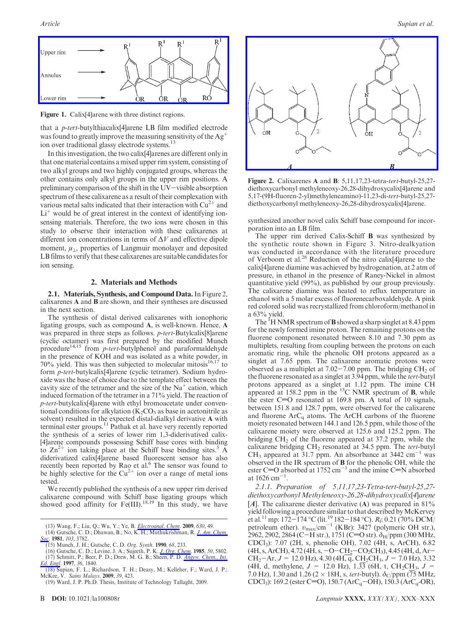

Figure 1. Calix[4]arene with three distinct regions.

that a p-tert-butylthiacalix[4]arene LB film modified electrode was found to greatly improve the measuring sensitivity of the  $Ag^+$ ion over traditional glassy electrode systems.13

In this investigation, the two calix[4]arenes are different only in that one material contains a mixed upper rim system, consisting of two alkyl groups and two highly conjugated groups, whereas the other contains only alkyl groups in the upper rim positions. A preliminary comparison of the shift in the UV-visible absorption spectrum of these calixarene as a result of their complexation with various metal salts indicated that their interaction with  $Cu^{2+}$  and  $Li<sup>+</sup>$  would be of great interest in the context of identifying ionsensing materials. Therefore, the two ions were chosen in this study to observe their interaction with these calixarenes at different ion concentrations in terms of  $\Delta V$  and effective dipole moment,  $\mu_1$ , properties of Langmuir monolayer and deposited LB films to verify that these calixarenes are suitable candidates for ion sensing.

## 2. Materials and Methods

2.1. Materials, Synthesis, and Compound Data. In Figure 2, calixarenes A and B are shown, and their syntheses are discussed in the next section.

The synthesis of distal derived calixarenes with ionophoric ligating groups, such as compound A, is well-known. Hence, A was prepared in three steps as follows. p-tert-Butylcalix[8]arene (cyclic octamer) was first prepared by the modified Munch procedure<sup>14,15</sup> from *p-tert*-butylphenol and paraformaldehyde in the presence of KOH and was isolated as a white powder, in 70% yield. This was then subjected to molecular mitosis<sup>16,17</sup> to form p-tert-butylcalix[4]arene (cyclic tetramer). Sodium hydroxide was the base of choice due to the template effect between the cavity size of the tetramer and the size of the  $Na<sup>+</sup>$  cation, which induced formation of the tetramer in a 71% yield. The reaction of p-tert-butylcalix[4]arene with ethyl bromoacetate under conventional conditions for alkylation  $(K_2CO_3)$  as base in acetonitrile as solvent) resulted in the expected distal-dialkyl derivative **A** with terminal ester groups.<sup>11</sup> Pathak et al. have very recently reported the synthesis of a series of lower rim 1,3-diderivatived calix- [4]arene compounds possessing Schiff base cores with binding to  $Zn^{2+}$  ion taking place at the Schiff base binding sites.<sup>5</sup> A diderivatized calix[4]arene based fluorescent sensor has also recently been reported by Rao et al.<sup>6</sup> The sensor was found to be highly selective for the  $Cu^{2+}$  ion over a range of metal ions tested.

We recently published the synthesis of a new upper rim derived calixarene compound with Schiff base ligating groups which showed good affinity for Fe(III).18,19 In this study, we have

- Soc. 1981, 103, 3782.<br>
(15) Munch, J. H.; Gutsche, C. D. Org. Synth. 1990, 68, 233.
- (16) Gutsche, C. D.; Levine, J. A.; Sujeeth, P. K. J. Org. Chem. 1985, 50, 5802.

(17) Schmitt, P.; Beer, P. D.; Drew, M. G. B.; Sheen, P. D. Angew. Chem., Int. Ed. Engl. 1997, 36, 1840.



Figure 2. Calixarenes A and B: 5,11,17,23-tetra-tert-butyl-25,27 diethoxycarbonyl methyleneoxy-26,28-dihydroxycalix[4]arene and 5,17-(9H-fluoren-2-yl)methyleneamino)-11,23-di-tert-butyl-25,27 diethoxycarbonyl methyleneoxy-26,28-dihydroxycalix[4]arene.

synthesized another novel calix Schiff base compound for incorporation into an LB film.

The upper rim derived Calix-Schiff B was synthesized by the synthetic route shown in Figure 3. Nitro-dealkyation was conducted in accordance with the literature procedure of Verboom et al.28 Reduction of the nitro calix[4]arene to the calix[4]arene diamine was achieved by hydrogenation, at 2 atm of pressure, in ethanol in the presence of Raney-Nickel in almost quantitative yield (99%), as published by our group previously. The calixarene diamine was heated to reflux temperature in ethanol with a 5 molar excess of fluorenecarboxaldehyde. A pink red colored solid was recrystallized from chloroform/methanol in a 63% yield.

The <sup>I</sup>H NMR spectrum of **B** showed a sharp singlet at 8.43 ppm for the newly formed imine proton. The remaining protons on the fluorene component resonated between 8.10 and 7.30 ppm as multiplets, resulting from coupling between the protons on each aromatic ring, while the phenolic OH protons appeared as a singlet at 7.65 ppm. The calixarene aromatic protons were observed as a multiplet at  $7.02 - 7.00$  ppm. The bridging  $CH<sub>2</sub>$  of the fluorene resonated as a singlet at 3.94 ppm, while the tert-butyl protons appeared as a singlet at 1.12 ppm. The imine CH appeared at 158.2 ppm in the  $^{13}$ C NMR spectrum of **B**, while the ester  $C=O$  resonated at 169.8 pm. A total of 10 signals, between 151.8 and 128.7 ppm, were observed for the calixarene and fluorene  $ArC<sub>q</sub>$  atoms. The ArCH carbons of the fluorene moiety resonated between 144.1 and 126.5 ppm, while those of the calixarene moiety were observed at 125.6 and 125.2 ppm. The bridging  $CH<sub>2</sub>$  of the fluorene appeared at 37.2 ppm, while the calixarene bridging  $CH<sub>2</sub>$  resonated at 34.5 ppm. The tert-butyl  $CH<sub>3</sub>$  appeared at 31.7 ppm. An absorbance at 3442 cm<sup>-1</sup> was observed in the IR spectrum of B for the phenolic OH, while the ester C=O absorbed at  $1752 \text{ cm}^{-1}$  and the imine C=N absorbed at  $1626 \text{ cm}^{-1}$ .

2.1.1. Preparation of 5,11,17,23-Tetra-tert-butyl-25,27 diethoxycarbonyl Methyleneoxy-26,28-dihydroxycalix[4]arene [ $A$ ]. The calixarene diester derivative (A) was prepared in 81% yield following a procedure similar to that described by McKervey et al.<sup>11</sup> mp: 172–174 °C (lit.<sup>19</sup> 182–184 °C).  $R_f$ : 0.21 (70% DCM/<br>petroleum ether).  $v_{\text{max}}/\text{cm}^{-1}$  (KBr): 3427 (polymeric OH str.), 2962, 2902, 2864 (C-H str.), 1751 (C=O str). δ<sub>H</sub>/ppm (300 MHz, CDCl3): 7.07 (2H, s, phenolic OH), 7.02 (4H, s, ArCH), 6.82 (4H, s, ArCH), 4.72 (4H, s, -O-CH<sub>2</sub>-CO<sub>2</sub>CH<sub>3</sub>), 4.45 (4H, d, Ar- $CH_2$ -Ar,  $J = 12.0$  Hz), 4.30 (4H, q, CH<sub>2</sub>CH<sub>3</sub>,  $J = 7.0$  Hz), 3.32 (4H, d, methylene,  $J = 12.0$  Hz), 1.33 (6H, t, CH<sub>2</sub>CH<sub>3</sub>,  $J =$ 7.0 Hz), 1.30 and 1.26 (2  $\times$  18H, s, tert-butyl).  $\delta_C$ /ppm (75 MHz, CDCl<sub>3</sub>): 169.2 (ester C=O), 150.7 (ArC<sub>q</sub>-OH), 150.3 (ArC<sub>q</sub>-OR),

<sup>(13)</sup> Wang, F.; Liu, Q.; Wu, Y.; Ye, B. *Electroanal. Chem.* 2009, 630, 49.<br>(14) Gutsche, C. D.; Dhawan, B.; No, K. H.; Muthukrishman, R. *J. Am. Chem.* 

<sup>(18)</sup> Supian, F. L.; Richardson, T. H.; Deasy, M.; Kelleher, F.; Ward, J. P.; McKee, V. Sains Malays. 2009, 39, 423.

<sup>(19)</sup> Ward, J. P. Ph.D. Thesis, Institute of Technology Tallaght, 2009.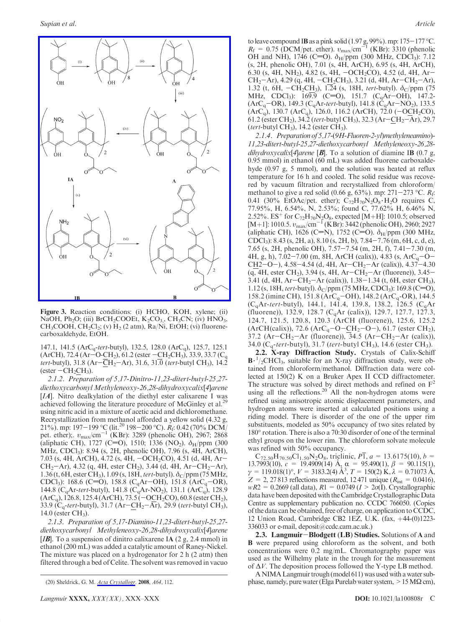

Figure 3. Reaction conditions: (i) HCHO, KOH, xylene; (ii) NaOH, Ph<sub>2</sub>O; (iii) BrCH<sub>2</sub>COOEt,  $K_2CO_{3}$ , CH<sub>3</sub>CN; (iv) HNO<sub>3</sub>, CH<sub>3</sub>COOH, CH<sub>2</sub>Cl<sub>2</sub>; (v) H<sub>2</sub> (2 atm), Ra/Ni, EtOH; (vi) fluorenecarboxaldehyde, EtOH.

147.1, 141.5 (ArCq-tert-butyl), 132.5, 128.0 (ArCq), 125.7, 125.1 (ArCH), 72.4 (Ar-O-CH<sub>2</sub>), 61.2 (ester  $-CH_2CH_3$ ), 33.9, 33.7 (C<sub>q</sub> tert-butyl),  $31.8 \text{ (Ar-CH}_2\text{–Ar})$ ,  $31.6$ ,  $31.0 \text{ (tert-butyl CH}_3)$ ,  $14.2$ (ester  $-CH_2CH_3$ ).

2.1.2. Preparation of 5,17-Dinitro-11,23-ditert-butyl-25,27 diethoxycarbonyl Methyleneoxy-26,28-dihydroxycalix[4]arene [*IA*]. Nitro dealkylation of the diethyl ester calixarene I was achieved following the literature procedure of McGinley et al.<sup>29</sup> using nitric acid in a mixture of acetic acid and dichloromethane. Recrystallization from methanol afforded a yellow solid (4.32 g, 21%). mp: 197–199 °C (lit.<sup>20</sup> 198–200 °C).  $R_f$ : 0.42 (70% DCM) pet. ether);.  $v_{\text{max}}/\text{cm}^{-1}$  (KBr): 3289 (phenolic OH), 2967; 2868 (aliphatic CH), 1727 (C=O), 1510; 1336 (NO<sub>2</sub>).  $\delta_{\rm H}/$ ppm (300 MHz, CDCl3): 8.94 (s, 2H, phenolic OH), 7.96 (s, 4H, ArCH), 7.03 (s, 4H, ArCH), 4.72 (s, 4H,  $-OCH<sub>2</sub>CO$ ), 4.51 (d, 4H, Ar- $CH_2$ -Ar), 4.32 (q, 4H, ester CH<sub>2</sub>), 3.44 (d, 4H, Ar-CH<sub>2</sub>-Ar), 1.36 (t, 6H, ester CH<sub>3</sub>), 1.09 (s, 18H, tert-butyl).  $\delta_C$ /ppm (75 MHz, CDCl<sub>3</sub>): 168.6 (C=O), 158.8 (C<sub>q</sub>Ar-OH), 151.8 (ArC<sub>q</sub>-OR), 144.8 ( $C_q$ Ar-tert-butyl), 141.8 ( $C_q$ Ar-NO<sub>2</sub>), 131.1 (ArC<sub>q</sub>), 128.9  $(ArC_q)$ , 126.8, 125.4 (ArCH), 73.5 ( $-$ OCH<sub>2</sub>CO), 60.8 (ester CH<sub>2</sub>), 33.9 ( $C_q$ -tert-butyl), 31.7 (Ar-CH<sub>2</sub>-Ar), 29.9 (tert-butyl CH<sub>3</sub>), 14.0 (ester  $CH_3$ ).

2.1.3. Preparation of 5,17-Diamino-11,23-ditert-butyl-25,27 diethoxycarbonyl Methyleneoxy-26,28-dihydroxycalix[4]arene [ $IB$ ]. To a suspension of dinitro calixarene IA (2 g, 2.4 mmol) in ethanol (200 mL) was added a catalytic amount of Raney-Nickel. The mixture was placed on a hydrogenator for 2 h (2 atm) then filtered through a bed of Celite. The solvent was removed in vacuo

to leave compound IB as a pink solid (1.97 g, 99%). mp: 175–177 °C.<br>  $R_{\rm f} = 0.75$  (DCM/pet. ether).  $v_{\rm max}/\text{cm}^{-1}$  (KBr): 3310 (phenolic OH and NH), 1746 (C=O).  $\delta_H$ /ppm (300 MHz, CDCl<sub>3</sub>): 7.12 (s, 2H, phenolic OH), 7.01 (s, 4H, ArCH), 6.95 (s, 4H, ArCH), 6.30 (s, 4H, NH<sub>2</sub>), 4.82 (s, 4H,  $-OCH<sub>2</sub>CO$ ), 4.52 (d, 4H, Ar- $CH_2$ –Ar), 4.29 (q, 4H, –C $H_2$ CH<sub>3</sub>), 3.21 (d, 4H, Ar–CH<sub>2</sub>–Ar), 1.32 (t, 6H,  $-CH_2C\underline{H}_3$ ), 1.24 (s, 18H, tert-butyl).  $\delta_C/ppm$  (75 MHz, CDCl<sub>3</sub>):  $16\overline{9.9}$  (C=O), 151.7 (C<sub>q</sub>Ar-OH), 147.2- $(ArC_q$ –OR), 149.3 (C<sub>q</sub>Ar-tert-butyl), 141.8 (C<sub>q</sub>Ar–NO<sub>2</sub>), 133.5  $(ArC_q)$ , 130.7  $(ArC_q)$ , 126.0, 116.2  $(ArCH)$ , 72.0  $(-OCH_2CO)$ , 61.2 (ester CH<sub>2</sub>), 34.2 (*tert*-butyl CH<sub>3</sub>), 32.3 ( $Ar-\underline{CH}_2-Ar$ ), 29.7 (tert-butyl  $CH<sub>3</sub>$ ), 14.2 (ester  $CH<sub>3</sub>$ ).

2.1.4. Preparation of 5,17-(9H-Fluoren-2-yl)methyleneamino)- 11,23-ditert-butyl-25,27-diethoxycarbonyl Methyleneoxy-26,28 dihydroxycalix[4]arene [**B**]. To a solution of diamine IB (0.7 g, 0.95 mmol) in ethanol (60 mL) was added fluorene carboxaldehyde (0.97 g, 5 mmol), and the solution was heated at reflux temperature for 16 h and cooled. The solid residue was recovered by vacuum filtration and recrystallized from chloroform/ methanol to give a red solid (0.66 g, 63%). mp: 271–273 °C.  $R_f$ : 0.41 (30% EtOAc/pet. ether);  $C_{72}H_{70}N_2O_8·H_2O$  requires C, 77.95%, H, 6.54%, N, 2.53%; found C, 77.62% H, 6.46% N, 2.52%. ES<sup>+</sup> for C<sub>72</sub>H<sub>70</sub>N<sub>2</sub>O<sub>8</sub>, expected [M+H]: 1010.5; observed [M+1]: 1010.5.  $v_{\text{max}}/\text{cm}^{-1}$  (KBr): 3442 (phenolic OH), 2960; 2927 (aliphatic CH), 1626 (C=N), 1752 (C=O).  $\delta_H$ /ppm (300 MHz, CDCl3): 8.43 (s, 2H, a), 8.10 (s, 2H, b), 7.84-7.76 (m, 6H, c, d, e), 7.65 (s, 2H, phenolic OH), 7.57-7.54 (m, 2H, f), 7.41-7.30 (m, 4H, g, h), 7.02-7.00 (m, 8H, ArCH (calix)), 4.83 (s, ArC<sub>q</sub>-O-CH2-O-), 4.58-4.54 (d, 4H, Ar-CH<sub>2</sub>-Ar (calix)), 4.37-4.30  $(q, 4H, \text{ester } CH_2)$ , 3.94 (s, 4H, Ar-CH<sub>2</sub>-Ar (fluorene)), 3.45-3.41 (d, 4H, Ar-CH<sub>2</sub>-Ar (calix)),  $1.38-1.34$  (t, 6H, ester CH<sub>3</sub>), 1.12 (s, 18H, tert-butyl).  $\delta_C$ /ppm (75 MHz, CDCl<sub>3</sub>): 169.8 (C=O), 158.2 (imine CH), 151.8 (ArC<sub>q</sub>-OH), 148.2 (ArC<sub>q</sub>-OR), 144.5  $(C_qAr\text{-}tert\text{-}butyl), 144.1, 141.4, 139.8, 138.2, 126.5 (C_qAr)$ (fluorene)), 132.9, 128.7 (C<sub>q</sub>Ar (calix)), 129.7, 127.7, 127.3, 124.7, 121.5, 120.8, 120.3 (ArCH (fluorene)), 125.6, 125.2  $(ArCH(calix))$ , 72.6  $(ArC_q-O-CH_2-O)$ , 61.7 (ester CH<sub>2</sub>), 37.2 (Ar-CH<sub>2</sub>-Ar (fluorene)),  $\overline{34.5}$  (Ar-CH<sub>2</sub>-Ar (calix)), 34.0 ( $C_q$ -tert-butyl), 31.7 (tert-butyl CH<sub>3</sub>), 14.6 (ester CH<sub>3</sub>).

2.2. X-ray Diffraction Study. Crystals of Calix-Schiff  $\mathbf{B} \cdot \frac{1}{2}$ CHCl<sub>3</sub>, suitable for an X-ray diffraction study, were obtained from chloroform/methanol. Diffraction data were collected at 150(2) K on a Bruker Apex II CCD diffractometer. The structure was solved by direct methods and refined on  $F<sup>2</sup>$ using all the reflections.<sup>20</sup> All the non-hydrogen atoms were refined using anisotropic atomic displacement parameters, and hydrogen atoms were inserted at calculated positions using a riding model. There is disorder of the one of the upper rim substituents, modeled as 50% occupancy of two sites related by 180° rotation. There is also a 70:30 disorder of one of the terminal ethyl groups on the lower rim. The chloroform solvate molecule was refined with 50% occupancy.

 $C_{72.50}H_{70.50}Cl_{1.50}N_2O_8$ , triclinic,  $P\overline{1}$ ,  $a = 13.6175(10)$ ,  $b =$ 13.7993(10),  $c = 19.4909(14)$   $\mathring{A}$ ,  $\alpha = 95.490(1)$ ,  $\beta = 90.115(1)$ ,  $\gamma = 119.018(1)^\circ$ ,  $V = 3183.2(4)$   $\AA^3$ ,  $T = 150(2)$  K,  $\lambda = 0.71073$   $\AA$ ,  $Z = 2, 27813$  reflections measured, 12471 unique ( $R_{int} = 0.0416$ ),  $wR2 = 0.2669$  (all data),  $R1 = 0.0749$  ( $I > 2\sigma(I)$ ). Crystallographic data have been deposited with the Cambridge Crystallographic Data Centre as supplementary publication no. CCDC 766050. (Copies of the data can be obtained, free of charge, on application to CCDC, 12 Union Road, Cambridge CB2 1EZ, U.K. (fax, +44-(0)1223-336033 or e-mail, deposit@ccdc.cam.ac.uk.)

2.3. Langmuir-Blodgett (LB) Studies. Solutions of A and B were prepared using chloroform as the solvent, and both concentrations were 0.2 mg/mL. Chromatography paper was used as the Wilhelmy plate in the trough for the measurement of  $\Delta V$ . The deposition process followed the Y-type LB method.

ANIMALangmuir trough (model 611) was used with a water subphase, namely, pure water (Elga Purelab water system,  $>15$  M $\Omega$  cm),

<sup>(20)</sup> Sheldrick, G. M. Acta Crystallogr. 2008, A64, 112.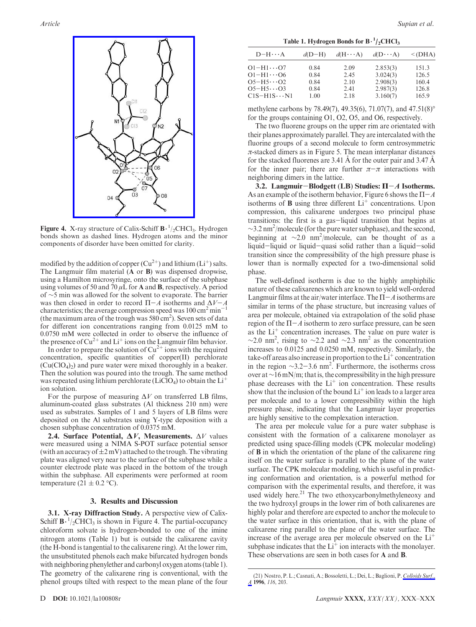

**Figure 4.** X-ray structure of Calix-Schiff  $B^{-1}/2$ CHCl<sub>3</sub>. Hydrogen bonds shown as dashed lines. Hydrogen atoms and the minor components of disorder have been omitted for clarity.

modified by the addition of copper  $(Cu^{2+})$  and lithium  $(Li^+)$  salts. The Langmuir film material (A or B) was dispensed dropwise, using a Hamilton microsyringe, onto the surface of the subphase using volumes of 50 and 70  $\mu$ L for A and B, respectively. A period of ∼5 min was allowed for the solvent to evaporate. The barrier was then closed in order to record  $\Pi - A$  isotherms and  $\Delta V - A$ characteristics; the average compression speed was  $100 \text{ cm}^2 \text{ min}^{-1}$ (the maximum area of the trough was  $580 \text{ cm}^2$ ). Seven sets of data for different ion concentrations ranging from 0.0125 mM to 0.0750 mM were collected in order to observe the influence of the presence of  $Cu^{2+}$  and  $Li^{+}$  ions on the Langmuir film behavior.

In order to prepare the solution of  $Cu^{2+}$  ions with the required concentration, specific quantities of copper(II) perchlorate  $(Cu(CIO<sub>4</sub>)<sub>2</sub>)$  and pure water were mixed thoroughly in a beaker. Then the solution was poured into the trough. The same method was repeated using lithium perchlorate (LiClO<sub>4</sub>) to obtain the  $Li<sup>+</sup>$ ion solution.

For the purpose of measuring  $\Delta V$  on transferred LB films, aluminum-coated glass substrates (Al thickness 210 nm) were used as substrates. Samples of 1 and 5 layers of LB films were deposited on the Al substrates using Y-type deposition with a chosen subphase concentration of 0.0375 mM.

**2.4. Surface Potential,**  $\Delta V$ **, Measurements.**  $\Delta V$  values were measured using a NIMA S-POT surface potential sensor (with an accuracy of  $\pm 2$  mV) attached to the trough. The vibrating plate was aligned very near to the surface of the subphase while a counter electrode plate was placed in the bottom of the trough within the subphase. All experiments were performed at room temperature  $(21 \pm 0.2 \degree C)$ .

#### 3. Results and Discussion

3.1. X-ray Diffraction Study. A perspective view of Calix-Schiff  $\mathbf{B} \cdot \frac{1}{2}$ CHCl<sub>3</sub> is shown in Figure 4. The partial-occupancy chloroform solvate is hydrogen-bonded to one of the imine nitrogen atoms (Table 1) but is outside the calixarene cavity (the H-bond is tangential to the calixarene ring). At the lower rim, the unsubstituted phenols each make bifurcated hydrogen bonds with neighboring phenylether and carbonyl oxygen atoms (table 1). The geometry of the calixarene ring is conventional, with the phenol groups tilted with respect to the mean plane of the four

Table 1. Hydrogen Bonds for  $B^{-1}/_2CHCl_3$ 

| $D-H\cdots A$<br>$d(D-H)$<br>$d(H \cdots A)$<br>$d(D \cdots A)$                                                                                                                                                                                      | $\leq$ (DHA)                              |
|------------------------------------------------------------------------------------------------------------------------------------------------------------------------------------------------------------------------------------------------------|-------------------------------------------|
| $O1-H1\cdots O7$<br>2.853(3)<br>0.84<br>2.09<br>3.024(3)<br>$O1 - H1 \cdots O6$<br>0.84<br>2.45<br>$O5-H5\cdots O2$<br>2.908(3)<br>0.84<br>2.10<br>2.987(3)<br>$O5 - H5 \cdots O3$<br>0.84<br>2.41<br>$C1S-H1S\cdots N1$<br>3.160(7)<br>1.00<br>2.18 | 151.3<br>126.5<br>160.4<br>126.8<br>165.9 |

methylene carbons by 78.49(7), 49.35(6), 71.07(7), and 47.51(8) for the groups containing O1, O2, O5, and O6, respectively.

The two fluorene groups on the upper rim are orientated with their planes approximately parallel. They are intercalated with the fluorine groups of a second molecule to form centrosymmetric  $\pi$ -stacked dimers as in Figure 5. The mean interplanar distances for the stacked fluorenes are 3.41  $\AA$  for the outer pair and 3.47  $\AA$ for the inner pair; there are further  $\pi-\pi$  interactions with neighboring dimers in the lattice.

3.2. Langmuir-Blodgett (LB) Studies:  $\Pi - A$  Isotherms. As an example of the isotherm behavior, Figure 6 shows the  $\Pi - A$ isotherms of  $\bf{B}$  using three different  $\rm{Li}^+$  concentrations. Upon compression, this calixarene undergoes two principal phase transitions: the first is a gas-liquid transition that begins at  $\sim$ 3.2 nm<sup>2</sup>/molecule (for the pure water subphase), and the second, beginning at  $\sim$ 2.0 nm<sup>2</sup>/molecule, can be thought of as a liquid-liquid or liquid-quasi solid rather than a liquid-solid transition since the compressibility of the high pressure phase is lower than is normally expected for a two-dimensional solid phase.

The well-defined isotherm is due to the highly amphiphilic nature of these calixarenes which are known to yield well-ordered Langmuir films at the air/water interface. The  $\Pi - A$  isotherms are similar in terms of the phase structure, but increasing values of area per molecule, obtained via extrapolation of the solid phase region of the  $\Pi - A$  isotherm to zero surface pressure, can be seen as the  $Li<sup>+</sup>$  concentration increases. The value on pure water is  $\sim$ 2.0 nm<sup>2</sup>, rising to  $\sim$ 2.2 and  $\sim$ 2.3 nm<sup>2</sup> as the concentration increases to 0.0125 and 0.0250 mM, respectively. Similarly, the take-off areas also increase in proportion to the  $Li<sup>+</sup>$  concentration in the region  $\sim$ 3.2–3.6 nm<sup>2</sup>. Furthermore, the isotherms cross over at∼16 mN/m; that is, the compressibility in the high pressure phase decreases with the  $Li<sup>+</sup>$  ion concentration. These results show that the inclusion of the bound  $Li^+$  ion leads to a larger area per molecule and to a lower compressibility within the high pressure phase, indicating that the Langmuir layer properties are highly sensitive to the complexation interaction.

The area per molecule value for a pure water subphase is consistent with the formation of a calixarene monolayer as predicted using space-filling models (CPK molecular modeling) of B in which the orientation of the plane of the calixarene ring itself on the water surface is parallel to the plane of the water surface. The CPK molecular modeling, which is useful in predicting conformation and orientation, is a powerful method for comparison with the experimental results, and therefore, it was used widely here. $21$  The two ethoxycarbonylmethyleneoxy and the two hydroxyl groups in the lower rim of both calixarenes are highly polar and therefore are expected to anchor the molecule to the water surface in this orientation, that is, with the plane of calixarene ring parallel to the plane of the water surface. The increase of the average area per molecule observed on the  $Li<sup>+</sup>$ subphase indicates that the  $Li<sup>+</sup>$  ion interacts with the monolayer. These observations are seen in both cases for A and B.

<sup>(21)</sup> Nostro, P. L.; Casnati, A.; Bossoletti, L.; Dei, L.; Baglioni, P. Colloids Surf. A 1996, 116, 203.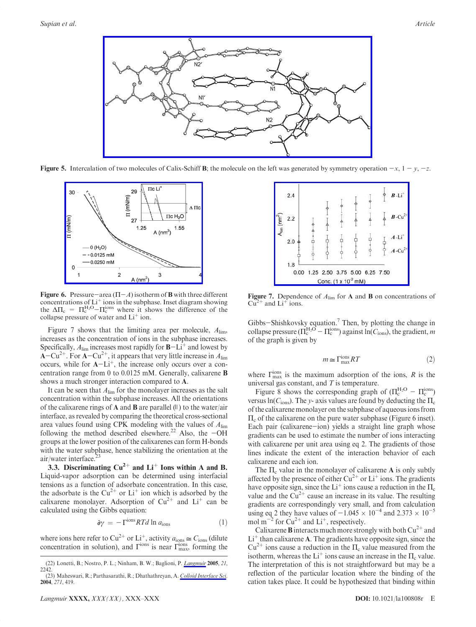

**Figure 5.** Intercalation of two molecules of Calix-Schiff B; the molecule on the left was generated by symmetry operation  $-x$ ,  $1-y$ ,  $-z$ .



Figure 6. Pressure-area ( $\Pi$ - $A$ ) isotherm of **B** with three different concentrations of  $Li^+$  ions in the subphase. Inset diagram showing the  $\Delta \Pi_c = \Pi_c^{\text{H}_2\text{O}} - \Pi_c^{\text{ions}}$  where it shows the difference of the collapse pressure of water and  $Li<sup>+</sup>$  ion.

Figure 7 shows that the limiting area per molecule,  $A_{\text{lim}}$ , increases as the concentration of ions in the subphase increases. Specifically,  $A_{\text{lim}}$  increases most rapidly for  $B-Li^+$  and lowest by  $\overline{A}-\overline{Cu}^{2+}$ . For  $A-Cu^{2+}$ , it appears that very little increase in  $A_{\text{lim}}$ occurs, while for  $A-Li^+$ , the increase only occurs over a concentration range from 0 to 0.0125 mM. Generally, calixarene B shows a much stronger interaction compared to A.

It can be seen that  $A_{\text{lim}}$  for the monolayer increases as the salt concentration within the subphase increases. All the orientations of the calixarene rings of **A** and **B** are parallel  $(II)$  to the water/air interface, as revealed by comparing the theoretical cross-sectional area values found using CPK modeling with the values of  $A_{\text{lim}}$ following the method described elsewhere.<sup>22</sup> Also, the  $-OH$ groups at the lower position of the calixarenes can form H-bonds with the water subphase, hence stabilizing the orientation at the air/water interface.23

3.3. Discriminating  $Cu^{2+}$  and  $Li^{+}$  Ions within A and B. Liquid-vapor adsorption can be determined using interfacial tensions as a function of adsorbate concentration. In this case, the adsorbate is the  $Cu^{2+}$  or  $Li^{+}$  ion which is adsorbed by the calixarene monolayer. Adsorption of  $Cu^{2+}$  and  $Li^{+}$  can be calculated using the Gibbs equation:

$$
\partial \gamma = -\Gamma^{\text{ions}} RTd \ln a_{\text{ions}} \tag{1}
$$

where ions here refer to  $Cu^{2+}$  or  $Li^{+}$ , activity  $a_{\text{ions}} \cong C_{\text{ions}}$  (dilute concentration in solution), and  $\Gamma^{\text{ions}}$  is near  $\Gamma^{\text{ions}}_{\text{max}}$ , forming the

Figure 7. Dependence of  $A_{\text{lim}}$  for **A** and **B** on concentrations of  $Cu^{2+}$  and  $Li^{+}$  ions.

Gibbs-Shishkovsky equation.<sup>7</sup> Then, by plotting the change in collapse pressure ( $\Pi_c^{\text{H}_2\text{O}} - \Pi_c^{\text{ions}}$ ) against  $\ln(C_{\text{ions}})$ , the gradient, m of the graph is given by

$$
m \simeq \Gamma_{\text{max}}^{\text{ions}} RT \tag{2}
$$

where  $\Gamma_{\text{max}}^{\text{ions}}$  is the maximum adsorption of the ions, R is the universal gas constant, and  $T$  is temperature.

Figure 8 shows the corresponding graph of  $(\Pi_c^{\text{H}_2\text{O}} - \Pi_c^{\text{ions}})$ versus ln( $C_{\text{ions}}$ ). The y- axis values are found by deducting the  $\Pi_c$ of the calixarene monolayer on the subphase of aqueous ions from  $\Pi_c$  of the calixarene on the pure water subphase (Figure 6 inset). Each pair (calixarene-ion) yields a straight line graph whose gradients can be used to estimate the number of ions interacting with calixarene per unit area using eq 2. The gradients of those lines indicate the extent of the interaction behavior of each calixarene and each ion.

The  $\Pi_c$  value in the monolayer of calixarene **A** is only subtly affected by the presence of either  $Cu^{2+}$  or  $Li^{+}$  ions. The gradients have opposite sign, since the  $Li^+$  ions cause a reduction in the  $\Pi_c$ value and the  $Cu^{2+}$  cause an increase in its value. The resulting gradients are correspondingly very small, and from calculation using eq 2 they have values of  $-1.045 \times 10^{-4}$  and  $2.373 \times 10^{-5}$ mol m<sup> $^{-2}$ </sup> for Cu<sup>2+</sup> and Li<sup>+</sup>, respectively.

Calixarene **B** interacts much more strongly with both  $Cu^{2+}$  and  $Li<sup>+</sup>$  than calixarene A. The gradients have opposite sign, since the  $Cu^{2+}$  ions cause a reduction in the  $\Pi_c$  value measured from the isotherm, whereas the  $Li^+$  ions cause an increase in the  $\Pi_c$  value. The interpretation of this is not straightforward but may be a reflection of the particular location where the binding of the cation takes place. It could be hypothesized that binding within

<sup>(22)</sup> Lonetti, B.; Nostro, P. L.; Ninham, B. W.; Baglioni, P. *Langmuir* 2005, 21, 2242. (23) Maheswari, R.; Parthasarathi, R.; Dhathathreyan, A. *Colloid Interface Sci.*<br>2004, 271, 419.

 $24$  $B - L$  $(mn^2)$  $B$ -Cu  $2.2$  $A-I.i$  $2.0$  $A-Cu$ 1.8 0.00 1.25 2.50 3.75 5.00 6.25 7.50 Conc. (1 x 10<sup>-2</sup> mM)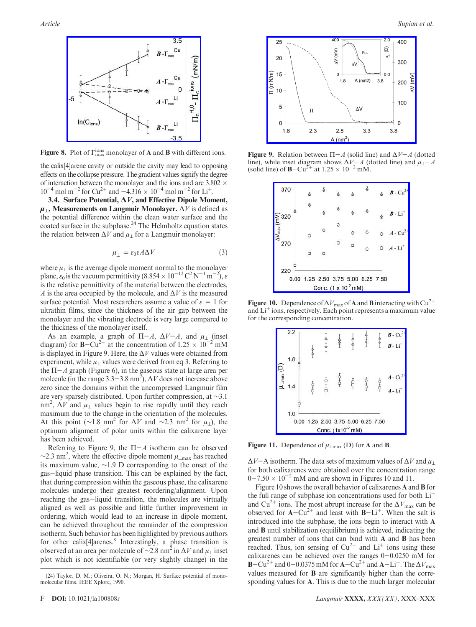

Figure 8. Plot of  $\Gamma_{\text{max}}^{\text{ions}}$  monolayer of A and B with different ions.

the calix[4]arene cavity or outside the cavity may lead to opposing effects on the collapse pressure. The gradient values signify the degree of interaction between the monolayer and the ions and are  $3.802 \times 10^{-4}$  $10^{-4}$  mol m<sup>-2</sup> for Cu<sup>2+</sup> and -4.316  $\times$  10<sup>-4</sup> mol m<sup>-2</sup> for Li<sup>+</sup>.

3.4. Surface Potential,  $\Delta V$ , and Effective Dipole Moment,  $\mu_{\perp}$ , Measurements on Langmuir Monolayer.  $\Delta V$  is defined as the potential difference within the clean water surface and the coated surface in the subphase.<sup>24</sup> The Helmholtz equation states the relation between  $\Delta V$  and  $\mu_{\perp}$  for a Langmuir monolayer:

$$
\mu_{\perp} = \varepsilon_0 \varepsilon A \Delta V \tag{3}
$$

where  $\mu_{\perp}$  is the average dipole moment normal to the monolayer plane,  $\varepsilon_0$  is the vacuum permittivity (8.854  $\times 10^{-12} \text{ C}^2 \text{ N}^{-1} \text{ m}^{-2}$ ),  $\varepsilon$ is the relative permittivity of the material between the electrodes, A is the area occupied by the molecule, and  $\Delta V$  is the measured surface potential. Most researchers assume a value of  $\varepsilon = 1$  for ultrathin films, since the thickness of the air gap between the monolayer and the vibrating electrode is very large compared to the thickness of the monolayer itself.

As an example, a graph of  $\Pi - A$ ,  $\Delta V - A$ , and  $\mu_{\perp}$  (inset diagram) for **B**-Cu<sup>2+</sup> at the concentration of  $1.25 \times 10^{-2}$  mM is displayed in Figure 9. Here, the  $\Delta V$  values were obtained from experiment, while  $\mu_{\perp}$  values were derived from eq 3. Referring to the  $\Pi - A$  graph (Figure 6), in the gaseous state at large area per molecule (in the range  $3.3-3.8 \text{ nm}^2$ ),  $\Delta V$  does not increase above zero since the domains within the uncompressed Langmuir film are very sparsely distributed. Upon further compression, at ∼3.1 nm<sup>2</sup>,  $\Delta V$  and  $\mu_{\perp}$  values begin to rise rapidly until they reach maximum due to the change in the orientation of the molecules. At this point (∼1.8 nm<sup>2</sup> for  $\Delta V$  and ~2.3 nm<sup>2</sup> for  $\mu_{\perp}$ ), the optimum alignment of polar units within the calixarene layer has been achieved.

Referring to Figure 9, the  $\Pi - A$  isotherm can be observed  $\sim$ 2.3 nm<sup>2</sup>, where the effective dipole moment  $\mu_{\perp max}$  has reached its maximum value, ∼1.9 D corresponding to the onset of the gas-liquid phase transition. This can be explained by the fact, that during compression within the gaseous phase, the calixarene molecules undergo their greatest reordering/alignment. Upon reaching the gas-liquid transition, the molecules are virtually aligned as well as possible and little further improvement in ordering, which would lead to an increase in dipole moment, can be achieved throughout the remainder of the compression isotherm. Such behavior has been highlighted by previous authors for other calix[4]arenes.<sup>8</sup> Interestingly, a phase transition is observed at an area per molecule of  $\sim$ 2.8 nm<sup>2</sup> in  $\Delta V$  and  $\mu_{\perp}$  inset plot which is not identifiable (or very slightly change) in the



Figure 9. Relation between  $\Pi - A$  (solid line) and  $\Delta V - A$  (dotted line), while inset diagram shows  $\Delta V - A$  (dotted line) and  $\mu_{\perp} - A$ (solid line) of  $B - Cu^{2+}$  at  $1.25 \times 10^{-2}$  mM.

| 370                    | Ā                                  | Ā |                                 | Ā       |             | $B - Cu^{2+}$            |
|------------------------|------------------------------------|---|---------------------------------|---------|-------------|--------------------------|
| $\widehat{\Sigma}$ 320 | $\Phi$                             |   | ě                               | ğ       | $\tilde{Q}$ | $B - Li$                 |
| $\Delta V_{\rm max}$   | Ō                                  | Ō |                                 | $\circ$ |             | $O \tA - Cu^{2+}$        |
| 270                    | ο                                  |   | ō                               | Ö       |             | $0$ $A$ -Li <sup>+</sup> |
| 220                    | 0.00 1.25 2.50 3.75 5.00 6.25 7.50 |   | Conc. (1 x 10 <sup>-2</sup> mM) |         |             |                          |

**Figure 10.** Dependence of  $\Delta V_{\text{max}}$  of **A** and **B** interacting with Cu<sup>2+</sup> and  $Li<sup>+</sup>$  ions, respectively. Each point represents a maximum value for the corresponding concentration.

|     | 2.2 |                                    |                               |   |               | $B - Cu^{2+}$<br>$B - Li$                |
|-----|-----|------------------------------------|-------------------------------|---|---------------|------------------------------------------|
| ê   | 1.8 |                                    |                               |   |               |                                          |
| max |     |                                    |                               | 8 | $\frac{6}{5}$ | $A - Cu^{2+}$<br>$A$ - $Li$ <sup>+</sup> |
|     | 1.0 | 0.00 1.25 2.50 3.75 5.00 6.25 7.50 | Conc. (1x10 <sup>-2</sup> mM) |   |               |                                          |

Figure 11. Dependence of  $\mu_{\perp max}$  (D) for A and B.

 $\Delta V$ –A isotherm. The data sets of maximum values of  $\Delta V$  and  $\mu_{\perp}$ for both calixarenes were obtained over the concentration range  $0-7.50 \times 10^{-2}$  mM and are shown in Figures 10 and 11.

Figure 10 shows the overall behavior of calixarenes A and B for the full range of subphase ion concentrations used for both  $Li<sup>+</sup>$ and Cu<sup>2+</sup> ions. The most abrupt increase for the  $\Delta V_{\text{max}}$  can be observed for  $A-Cu^{2+}$  and least with  $B-Li^{+}$ . When the salt is introduced into the subphase, the ions begin to interact with A and B until stabilization (equilibrium) is achieved, indicating the greatest number of ions that can bind with A and B has been reached. Thus, ion sensing of  $Cu^{2+}$  and  $Li^{+}$  ions using these calixarenes can be achieved over the ranges  $0-0.0250$  mM for  $\text{B}-\text{Cu}^{2+}$  and 0-0.0375 mM for  $\text{A}-\text{Cu}^{2+}$  and  $\text{A}-\text{Li}^{+}$ . The  $\Delta V_{\text{max}}$ values measured for B are significantly higher than the corresponding values for A. This is due to the much larger molecular

<sup>(24)</sup> Taylor, D. M.; Oliveira, O. N.; Morgan, H. Surface potential of monomolecular films. IEEE Xplore, 1990.